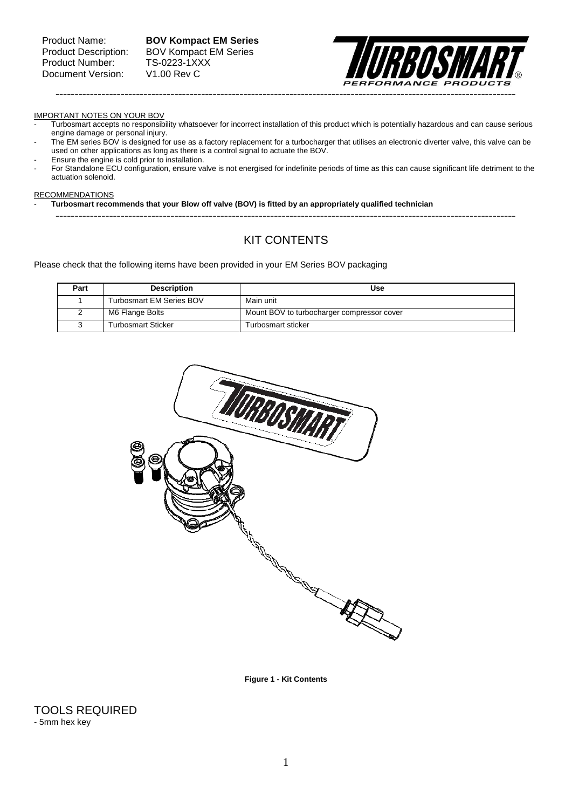Product Name: **BOV Kompact EM Series** Product Description: BOV Kompact EM Series



#### IMPORTANT NOTES ON YOUR BOV

- Turbosmart accepts no responsibility whatsoever for incorrect installation of this product which is potentially hazardous and can cause serious engine damage or personal injury.
- The EM series BOV is designed for use as a factory replacement for a turbocharger that utilises an electronic diverter valve, this valve can be used on other applications as long as there is a control signal to actuate the BOV.
- Ensure the engine is cold prior to installation.
- For Standalone ECU configuration, ensure valve is not energised for indefinite periods of time as this can cause significant life detriment to the actuation solenoid.

### RECOMMENDATIONS

- **Turbosmart recommends that your Blow off valve (BOV) is fitted by an appropriately qualified technician** 

------------------------------------------------------------------------------------------------------------------------

# KIT CONTENTS

Please check that the following items have been provided in your EM Series BOV packaging

| Part | <b>Description</b>              | Use                                        |
|------|---------------------------------|--------------------------------------------|
|      | <b>Turbosmart EM Series BOV</b> | Main unit                                  |
|      | M6 Flange Bolts                 | Mount BOV to turbocharger compressor cover |
|      | Turbosmart Sticker              | Turbosmart sticker                         |



**Figure 1 - Kit Contents**

TOOLS REQUIRED - 5mm hex key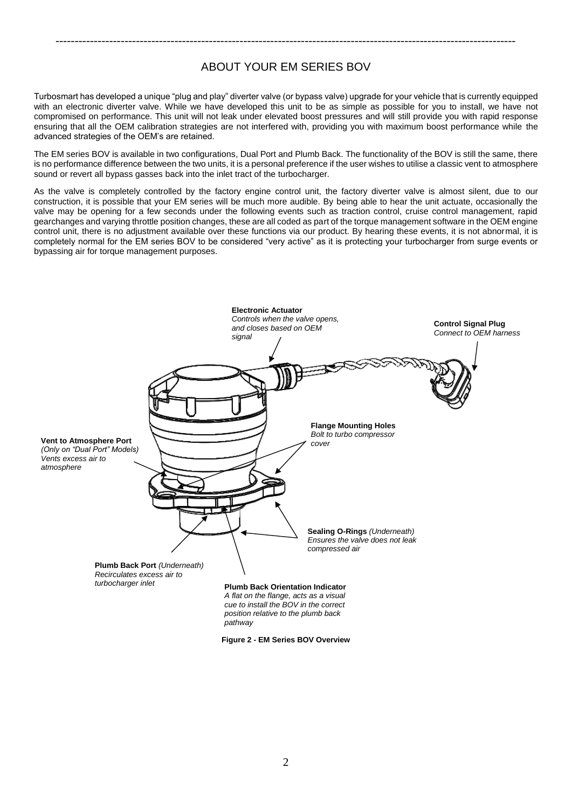# ABOUT YOUR EM SERIES BOV

------------------------------------------------------------------------------------------------------------------------

Turbosmart has developed a unique "plug and play" diverter valve (or bypass valve) upgrade for your vehicle that is currently equipped with an electronic diverter valve. While we have developed this unit to be as simple as possible for you to install, we have not compromised on performance. This unit will not leak under elevated boost pressures and will still provide you with rapid response ensuring that all the OEM calibration strategies are not interfered with, providing you with maximum boost performance while the advanced strategies of the OEM's are retained.

The EM series BOV is available in two configurations, Dual Port and Plumb Back. The functionality of the BOV is still the same, there is no performance difference between the two units, it is a personal preference if the user wishes to utilise a classic vent to atmosphere sound or revert all bypass gasses back into the inlet tract of the turbocharger.

As the valve is completely controlled by the factory engine control unit, the factory diverter valve is almost silent, due to our construction, it is possible that your EM series will be much more audible. By being able to hear the unit actuate, occasionally the valve may be opening for a few seconds under the following events such as traction control, cruise control management, rapid gearchanges and varying throttle position changes, these are all coded as part of the torque management software in the OEM engine control unit, there is no adjustment available over these functions via our product. By hearing these events, it is not abnormal, it is completely normal for the EM series BOV to be considered "very active" as it is protecting your turbocharger from surge events or bypassing air for torque management purposes.



**Figure 2 - EM Series BOV Overview**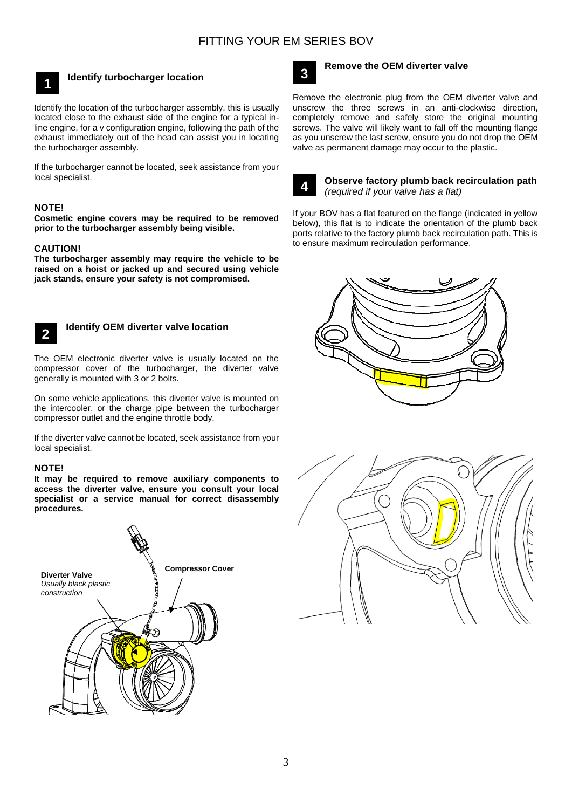

# **Identify turbocharger location**

Identify the location of the turbocharger assembly, this is usually located close to the exhaust side of the engine for a typical inline engine, for a v configuration engine, following the path of the exhaust immediately out of the head can assist you in locating the turbocharger assembly.

If the turbocharger cannot be located, seek assistance from your local specialist.

## **NOTE!**

**Cosmetic engine covers may be required to be removed prior to the turbocharger assembly being visible.** 

### **CAUTION!**

**The turbocharger assembly may require the vehicle to be raised on a hoist or jacked up and secured using vehicle jack stands, ensure your safety is not compromised.**



# **Identify OEM diverter valve location**

The OEM electronic diverter valve is usually located on the **3** compressor cover of the turbocharger, the diverter valve generally is mounted with 3 or 2 bolts.

On some vehicle applications, this diverter valve is mounted on the intercooler, or the charge pipe between the turbocharger compressor outlet and the engine throttle body.

If the diverter valve cannot be located, seek assistance from your local specialist.

### **NOTE!**

**It may be required to remove auxiliary components to access the diverter valve, ensure you consult your local specialist or a service manual for correct disassembly procedures.**





## **Remove the OEM diverter valve**

Remove the electronic plug from the OEM diverter valve and **3** unscrew the three screws in an anti-clockwise direction, completely remove and safely store the original mounting screws. The valve will likely want to fall off the mounting flange as you unscrew the last screw, ensure you do not drop the OEM valve as permanent damage may occur to the plastic.



### **Observe factory plumb back recirculation path**  *(required if your valve has a flat)*

If your BOV has a flat featured on the flange (indicated in yellow below), this flat is to indicate the orientation of the plumb back ports relative to the factory plumb back recirculation path. This is to ensure maximum recirculation performance.



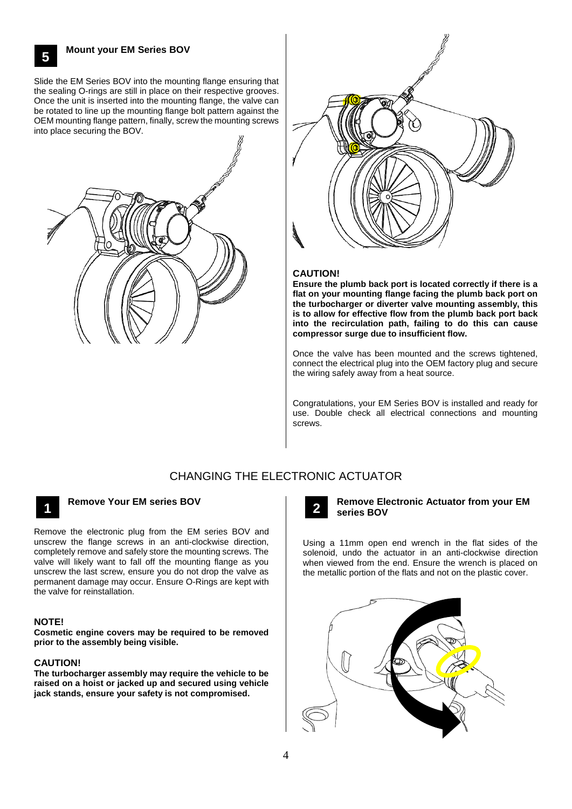**Mount your EM Series BOV**

**5**

Slide the EM Series BOV into the mounting flange ensuring that **3** the sealing O-rings are still in place on their respective grooves. Once the unit is inserted into the mounting flange, the valve can be rotated to line up the mounting flange bolt pattern against the OEM mounting flange pattern, finally, screw the mounting screws into place securing the BOV.





## **CAUTION!**

**Ensure the plumb back port is located correctly if there is a flat on your mounting flange facing the plumb back port on the turbocharger or diverter valve mounting assembly, this is to allow for effective flow from the plumb back port back into the recirculation path, failing to do this can cause compressor surge due to insufficient flow.**

Once the valve has been mounted and the screws tightened, connect the electrical plug into the OEM factory plug and secure the wiring safely away from a heat source.

Congratulations, your EM Series BOV is installed and ready for use. Double check all electrical connections and mounting screws.

# CHANGING THE ELECTRONIC ACTUATOR



# **Remove Your EM series BOV 1 2**

Remove the electronic plug from the EM series BOV and unscrew the flange screws in an anti-clockwise direction, completely remove and safely store the mounting screws. The valve will likely want to fall off the mounting flange as you unscrew the last screw, ensure you do not drop the valve as permanent damage may occur. Ensure O-Rings are kept with the valve for reinstallation.

### **NOTE!**

**Cosmetic engine covers may be required to be removed prior to the assembly being visible.** 

### **CAUTION!**

**The turbocharger assembly may require the vehicle to be raised on a hoist or jacked up and secured using vehicle jack stands, ensure your safety is not compromised.**



### **Remove Electronic Actuator from your EM series BOV**

Using a 11mm open end wrench in the flat sides of the solenoid, undo the actuator in an anti-clockwise direction when viewed from the end. Ensure the wrench is placed on the metallic portion of the flats and not on the plastic cover.

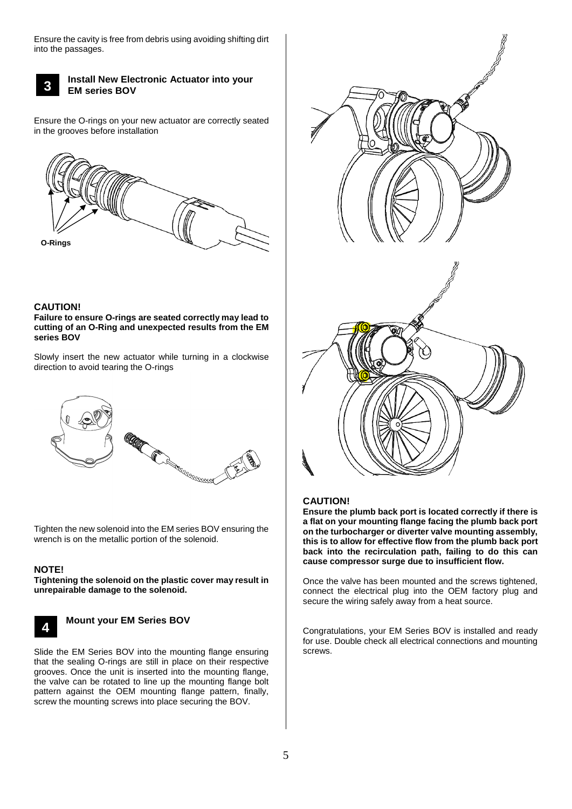Ensure the cavity is free from debris using avoiding shifting dirt into the passages.



## **Install New Electronic Actuator into your EM series BOV**

Ensure the O-rings on your new actuator are correctly seated in the grooves before installation



# **CAUTION!**

### **Failure to ensure O-rings are seated correctly may lead to cutting of an O-Ring and unexpected results from the EM series BOV**

Slowly insert the new actuator while turning in a clockwise direction to avoid tearing the O-rings



Tighten the new solenoid into the EM series BOV ensuring the wrench is on the metallic portion of the solenoid.

# **NOTE!**

**Tightening the solenoid on the plastic cover may result in unrepairable damage to the solenoid.**



## **Mount your EM Series BOV**

Slide the EM Series BOV into the mounting flange ensuring **3**that the sealing O-rings are still in place on their respective grooves. Once the unit is inserted into the mounting flange, the valve can be rotated to line up the mounting flange bolt pattern against the OEM mounting flange pattern, finally, screw the mounting screws into place securing the BOV.



## **CAUTION!**

**Ensure the plumb back port is located correctly if there is a flat on your mounting flange facing the plumb back port on the turbocharger or diverter valve mounting assembly, this is to allow for effective flow from the plumb back port back into the recirculation path, failing to do this can cause compressor surge due to insufficient flow.**

Once the valve has been mounted and the screws tightened, connect the electrical plug into the OEM factory plug and secure the wiring safely away from a heat source.

Congratulations, your EM Series BOV is installed and ready for use. Double check all electrical connections and mounting screws.